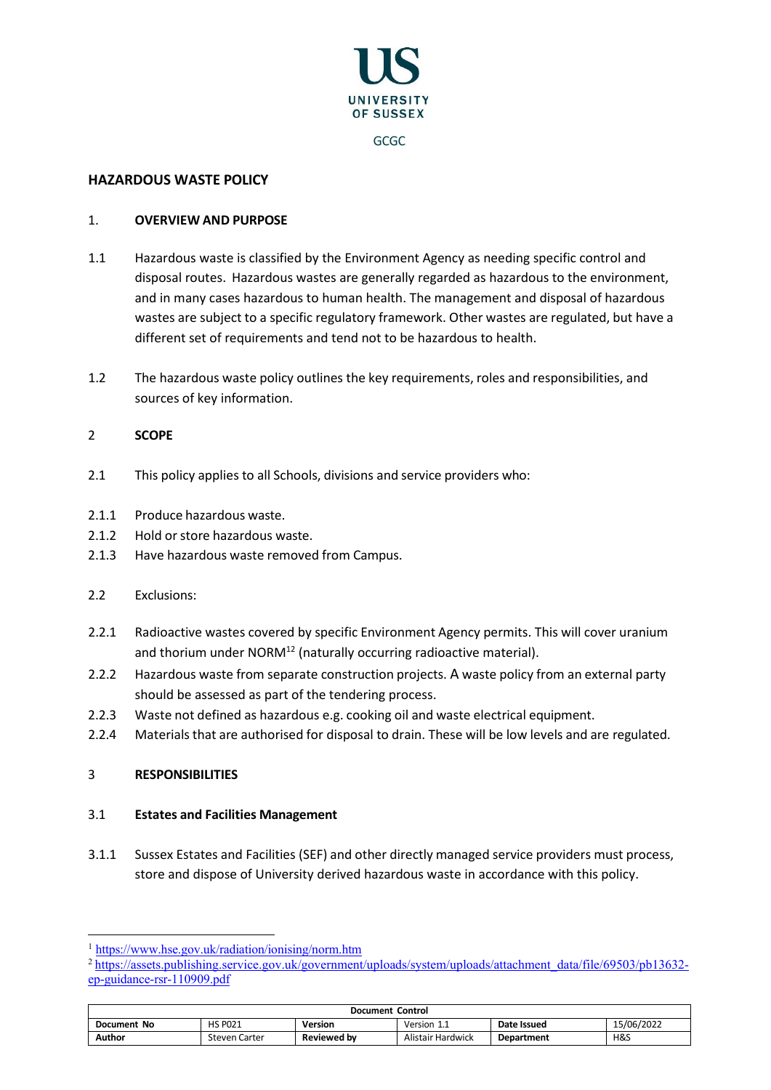

# **HAZARDOUS WASTE POLICY**

### 1. **OVERVIEW AND PURPOSE**

- 1.1 Hazardous waste is classified by the Environment Agency as needing specific control and disposal routes. Hazardous wastes are generally regarded as hazardous to the environment, and in many cases hazardous to human health. The management and disposal of hazardous wastes are subject to a specific regulatory framework. Other wastes are regulated, but have a different set of requirements and tend not to be hazardous to health.
- 1.2 The hazardous waste policy outlines the key requirements, roles and responsibilities, and sources of key information.

## 2 **SCOPE**

- 2.1 This policy applies to all Schools, divisions and service providers who:
- 2.1.1 Produce hazardous waste.
- 2.1.2 Hold or store hazardous waste.
- 2.1.3 Have hazardous waste removed from Campus.
- 2.2 Exclusions:
- 2.2.1 Radioactive wastes covered by specific Environment Agency permits. This will cover uranium and thorium under NORM<sup>12</sup> (naturally occurring radioactive material).
- 2.2.2 Hazardous waste from separate construction projects. A waste policy from an external party should be assessed as part of the tendering process.
- 2.2.3 Waste not defined as hazardous e.g. cooking oil and waste electrical equipment.
- 2.2.4 Materials that are authorised for disposal to drain. These will be low levels and are regulated.

#### 3 **RESPONSIBILITIES**

#### 3.1 **Estates and Facilities Management**

3.1.1 Sussex Estates and Facilities (SEF) and other directly managed service providers must process, store and dispose of University derived hazardous waste in accordance with this policy.

<sup>&</sup>lt;sup>2</sup> [https://assets.publishing.service.gov.uk/government/uploads/system/uploads/attachment\\_data/file/69503/pb13632](https://assets.publishing.service.gov.uk/government/uploads/system/uploads/attachment_data/file/69503/pb13632-ep-guidance-rsr-110909.pdf) [ep-guidance-rsr-110909.pdf](https://assets.publishing.service.gov.uk/government/uploads/system/uploads/attachment_data/file/69503/pb13632-ep-guidance-rsr-110909.pdf)

| <b>Document Control</b> |                      |                    |                   |             |            |
|-------------------------|----------------------|--------------------|-------------------|-------------|------------|
| Document No             | <b>HS PO21</b>       | <b>Version</b>     | Version $1_{-1}$  | Date Issued | 15/06/2022 |
| Author                  | <b>Steven Carter</b> | <b>Reviewed by</b> | Alistair Hardwick | Department  | H&S        |

<sup>1</sup> <https://www.hse.gov.uk/radiation/ionising/norm.htm>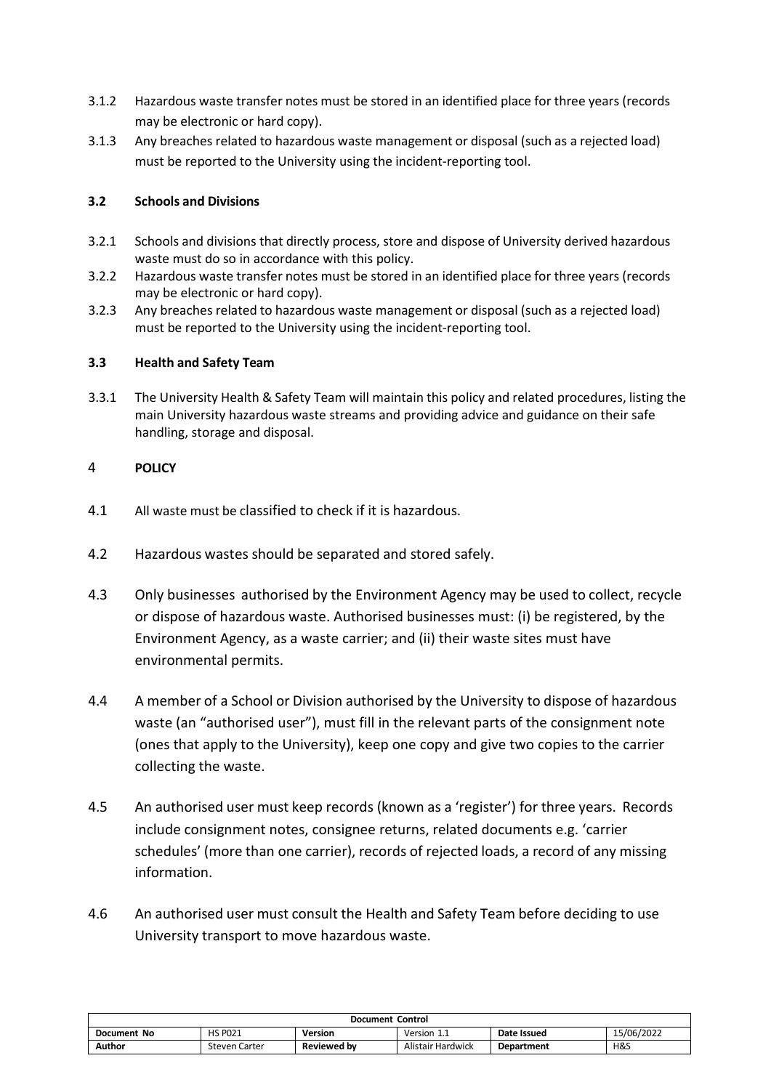- 3.1.2 Hazardous waste transfer notes must be stored in an identified place for three years (records may be electronic or hard copy).
- 3.1.3 Any breaches related to hazardous waste management or disposal (such as a rejected load) must be reported to the University using the incident-reporting tool.

# **3.2 Schools and Divisions**

- 3.2.1 Schools and divisions that directly process, store and dispose of University derived hazardous waste must do so in accordance with this policy.
- 3.2.2 Hazardous waste transfer notes must be stored in an identified place for three years (records may be electronic or hard copy).
- 3.2.3 Any breaches related to hazardous waste management or disposal (such as a rejected load) must be reported to the University using the incident-reporting tool.

## **3.3 Health and Safety Team**

3.3.1 The University Health & Safety Team will maintain this policy and related procedures, listing the main University hazardous waste streams and providing advice and guidance on their safe handling, storage and disposal.

# 4 **POLICY**

- 4.1 All waste must be classified to check if it is hazardous.
- 4.2 Hazardous wastes should be separated and stored safely.
- 4.3 Only businesses authorised by the Environment Agency may be used to collect, recycle or dispose of hazardous waste. Authorised businesses must: (i) be registered, by the Environment Agency, as a waste carrier; and (ii) their waste sites must have environmental permits.
- 4.4 A member of a School or Division authorised by the University to dispose of hazardous waste (an "authorised user"), must fill in the relevant parts of the consignment note (ones that apply to the University), keep one copy and give two copies to the carrier collecting the waste.
- 4.5 An authorised user must keep records (known as a 'register') for three years. Records include consignment notes, consignee returns, related documents e.g. 'carrier schedules' (more than one carrier), records of rejected loads, a record of any missing information.
- 4.6 An authorised user must consult the Health and Safety Team before deciding to use University transport to move hazardous waste.

| <b>Document Control</b> |                      |                    |                   |             |            |
|-------------------------|----------------------|--------------------|-------------------|-------------|------------|
| <b>Document No</b>      | <b>HS PO21</b>       | Version            | Version<br>-44    | Date Issued | 15/06/2022 |
| Author                  | <b>Steven Carter</b> | <b>Reviewed by</b> | Alistair Hardwick | Department  | H&S        |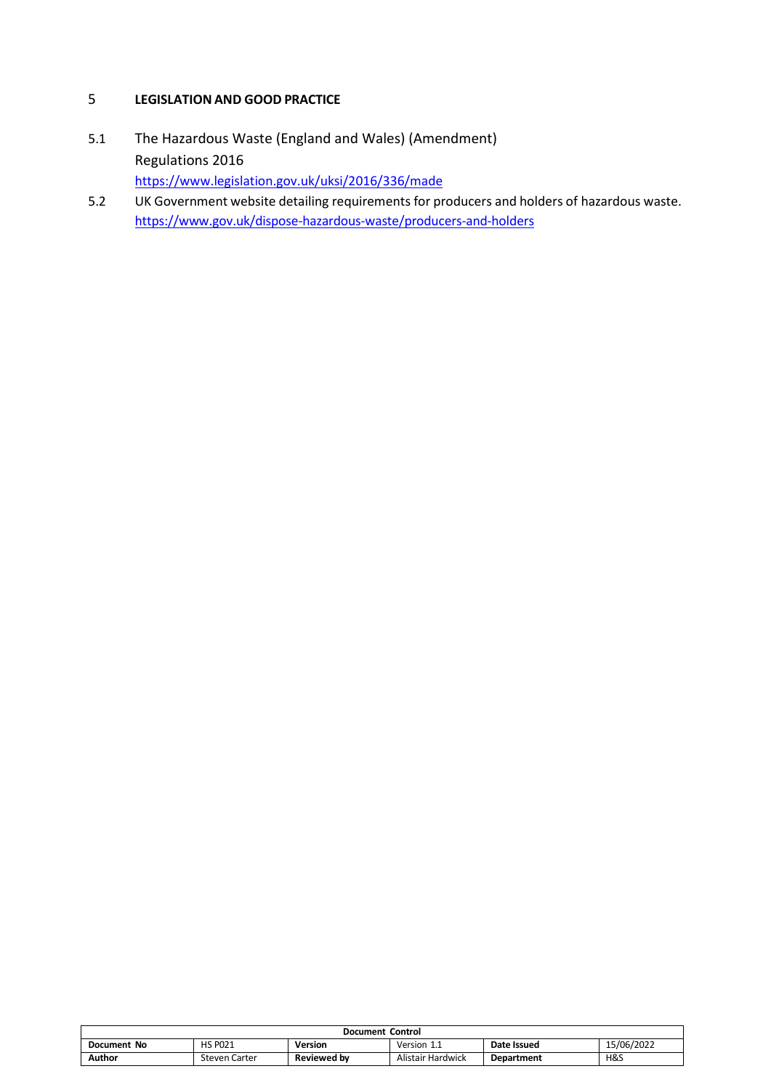# 5 **LEGISLATION AND GOOD PRACTICE**

- 5.1 The Hazardous Waste (England and Wales) (Amendment) Regulations 2016 <https://www.legislation.gov.uk/uksi/2016/336/made>
- 5.2 UK Government website detailing requirements for producers and holders of hazardous waste. <https://www.gov.uk/dispose-hazardous-waste/producers-and-holders>

| Document Control |                |                    |                   |             |            |
|------------------|----------------|--------------------|-------------------|-------------|------------|
| Document No      | <b>HS PO21</b> | Version            | Version 1.1       | Date Issued | 15/06/2022 |
| Author           | Steven Carter  | <b>Reviewed by</b> | Alistair Hardwick | Department  | H&S        |